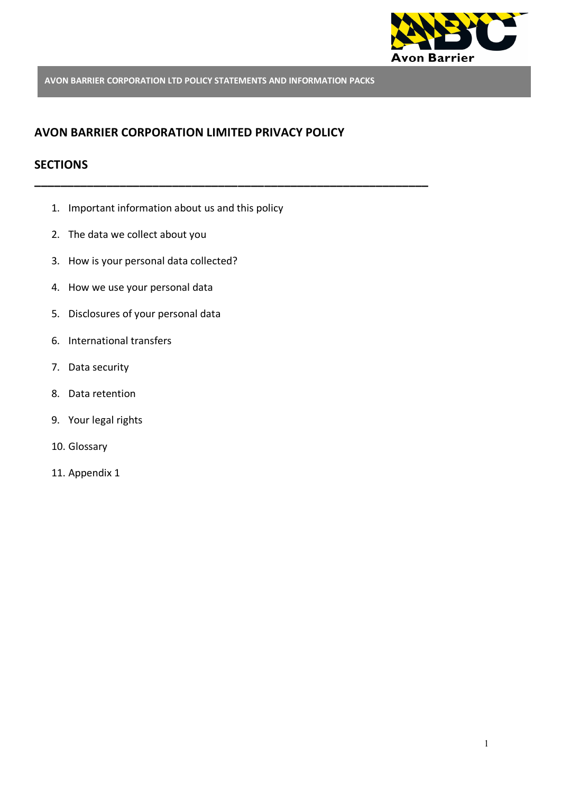

**\_\_\_\_\_\_\_\_\_\_\_\_\_\_\_\_\_\_\_\_\_\_\_\_\_\_\_\_\_\_\_\_\_\_\_\_\_\_\_\_\_\_\_\_\_\_\_\_\_\_\_\_\_\_\_\_\_\_\_\_** 

# **AVON BARRIER CORPORATION LIMITED PRIVACY POLICY**

## **SECTIONS**

- 1. Important information about us and this policy
- 2. The data we collect about you
- 3. How is your personal data collected?
- 4. How we use your personal data
- 5. Disclosures of your personal data
- 6. International transfers
- 7. Data security
- 8. Data retention
- 9. Your legal rights
- 10. Glossary
- 11. Appendix 1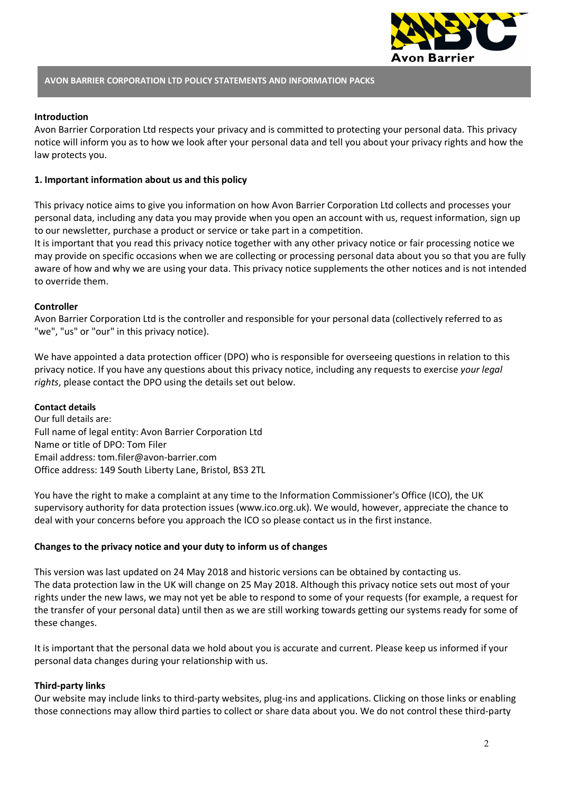

#### **Introduction**

Avon Barrier Corporation Ltd respects your privacy and is committed to protecting your personal data. This privacy notice will inform you as to how we look after your personal data and tell you about your privacy rights and how the law protects you.

#### **1. Important information about us and this policy**

This privacy notice aims to give you information on how Avon Barrier Corporation Ltd collects and processes your personal data, including any data you may provide when you open an account with us, request information, sign up to our newsletter, purchase a product or service or take part in a competition.

It is important that you read this privacy notice together with any other privacy notice or fair processing notice we may provide on specific occasions when we are collecting or processing personal data about you so that you are fully aware of how and why we are using your data. This privacy notice supplements the other notices and is not intended to override them.

#### **Controller**

Avon Barrier Corporation Ltd is the controller and responsible for your personal data (collectively referred to as "we", "us" or "our" in this privacy notice).

We have appointed a data protection officer (DPO) who is responsible for overseeing questions in relation to this privacy notice. If you have any questions about this privacy notice, including any requests to exercise *your legal rights*, please contact the DPO using the details set out below.

#### **Contact details**

Our full details are: Full name of legal entity: Avon Barrier Corporation Ltd Name or title of DPO: Tom Filer Email address: tom.filer@avon-barrier.com Office address: 149 South Liberty Lane, Bristol, BS3 2TL

You have the right to make a complaint at any time to the Information Commissioner's Office (ICO), the UK supervisory authority for data protection issues (www.ico.org.uk). We would, however, appreciate the chance to deal with your concerns before you approach the ICO so please contact us in the first instance.

## **Changes to the privacy notice and your duty to inform us of changes**

This version was last updated on 24 May 2018 and historic versions can be obtained by contacting us. The data protection law in the UK will change on 25 May 2018. Although this privacy notice sets out most of your rights under the new laws, we may not yet be able to respond to some of your requests (for example, a request for the transfer of your personal data) until then as we are still working towards getting our systems ready for some of these changes.

It is important that the personal data we hold about you is accurate and current. Please keep us informed if your personal data changes during your relationship with us.

## **Third-party links**

Our website may include links to third-party websites, plug-ins and applications. Clicking on those links or enabling those connections may allow third parties to collect or share data about you. We do not control these third-party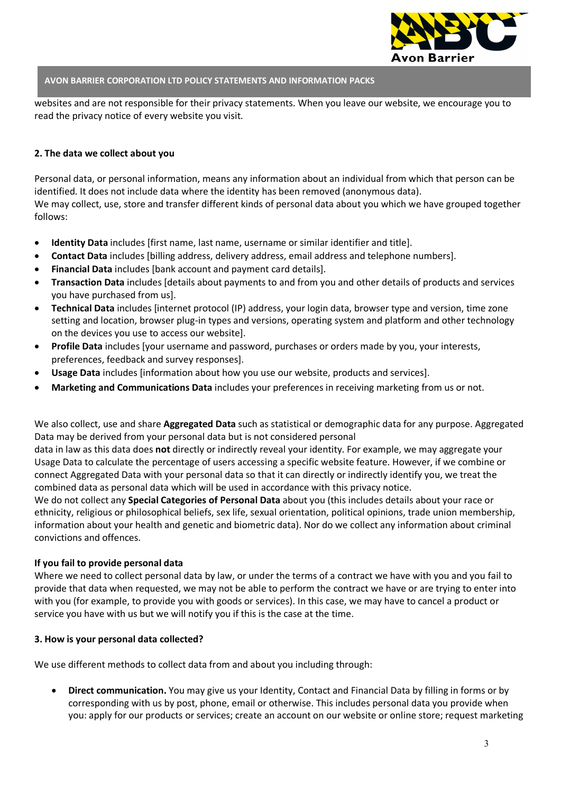

websites and are not responsible for their privacy statements. When you leave our website, we encourage you to read the privacy notice of every website you visit.

## **2. The data we collect about you**

Personal data, or personal information, means any information about an individual from which that person can be identified. It does not include data where the identity has been removed (anonymous data). We may collect, use, store and transfer different kinds of personal data about you which we have grouped together follows:

- **Identity Data** includes [first name, last name, username or similar identifier and title].
- **Contact Data** includes [billing address, delivery address, email address and telephone numbers].
- **Financial Data** includes [bank account and payment card details].
- **Transaction Data** includes [details about payments to and from you and other details of products and services you have purchased from us].
- **Technical Data** includes [internet protocol (IP) address, your login data, browser type and version, time zone setting and location, browser plug-in types and versions, operating system and platform and other technology on the devices you use to access our website].
- **Profile Data** includes [your username and password, purchases or orders made by you, your interests, preferences, feedback and survey responses].
- **Usage Data** includes [information about how you use our website, products and services].
- **Marketing and Communications Data** includes your preferences in receiving marketing from us or not.

We also collect, use and share **Aggregated Data** such as statistical or demographic data for any purpose. Aggregated Data may be derived from your personal data but is not considered personal

data in law as this data does **not** directly or indirectly reveal your identity. For example, we may aggregate your Usage Data to calculate the percentage of users accessing a specific website feature. However, if we combine or connect Aggregated Data with your personal data so that it can directly or indirectly identify you, we treat the combined data as personal data which will be used in accordance with this privacy notice.

We do not collect any **Special Categories of Personal Data** about you (this includes details about your race or ethnicity, religious or philosophical beliefs, sex life, sexual orientation, political opinions, trade union membership, information about your health and genetic and biometric data). Nor do we collect any information about criminal convictions and offences.

## **If you fail to provide personal data**

Where we need to collect personal data by law, or under the terms of a contract we have with you and you fail to provide that data when requested, we may not be able to perform the contract we have or are trying to enter into with you (for example, to provide you with goods or services). In this case, we may have to cancel a product or service you have with us but we will notify you if this is the case at the time.

## **3. How is your personal data collected?**

We use different methods to collect data from and about you including through:

• **Direct communication.** You may give us your Identity, Contact and Financial Data by filling in forms or by corresponding with us by post, phone, email or otherwise. This includes personal data you provide when you: apply for our products or services; create an account on our website or online store; request marketing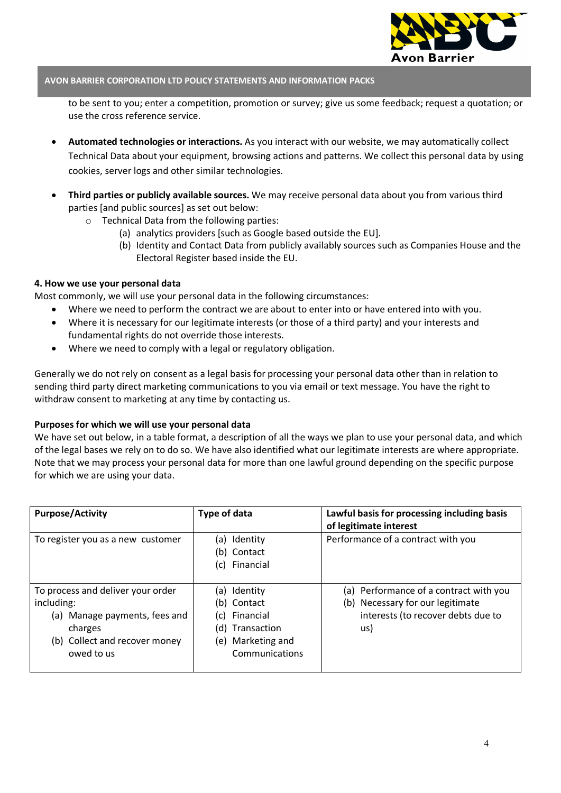

to be sent to you; enter a competition, promotion or survey; give us some feedback; request a quotation; or use the cross reference service.

- **Automated technologies or interactions.** As you interact with our website, we may automatically collect Technical Data about your equipment, browsing actions and patterns. We collect this personal data by using cookies, server logs and other similar technologies.
- **Third parties or publicly available sources.** We may receive personal data about you from various third parties [and public sources] as set out below:
	- o Technical Data from the following parties:
		- (a) analytics providers [such as Google based outside the EU].
		- (b) Identity and Contact Data from publicly availably sources such as Companies House and the Electoral Register based inside the EU.

## **4. How we use your personal data**

Most commonly, we will use your personal data in the following circumstances:

- Where we need to perform the contract we are about to enter into or have entered into with you.
- Where it is necessary for our legitimate interests (or those of a third party) and your interests and fundamental rights do not override those interests.
- Where we need to comply with a legal or regulatory obligation.

Generally we do not rely on consent as a legal basis for processing your personal data other than in relation to sending third party direct marketing communications to you via email or text message. You have the right to withdraw consent to marketing at any time by contacting us.

## **Purposes for which we will use your personal data**

We have set out below, in a table format, a description of all the ways we plan to use your personal data, and which of the legal bases we rely on to do so. We have also identified what our legitimate interests are where appropriate. Note that we may process your personal data for more than one lawful ground depending on the specific purpose for which we are using your data.

| <b>Purpose/Activity</b>                                                                                                                    | <b>Type of data</b>                                                                                        | Lawful basis for processing including basis<br>of legitimate interest                                                   |
|--------------------------------------------------------------------------------------------------------------------------------------------|------------------------------------------------------------------------------------------------------------|-------------------------------------------------------------------------------------------------------------------------|
| To register you as a new customer                                                                                                          | (a) Identity<br>(b) Contact<br>Financial<br>(c).                                                           | Performance of a contract with you                                                                                      |
| To process and deliver your order<br>including:<br>(a) Manage payments, fees and<br>charges<br>(b) Collect and recover money<br>owed to us | (a) Identity<br>(b) Contact<br>Financial<br>(c).<br>(d) Transaction<br>(e) Marketing and<br>Communications | (a) Performance of a contract with you<br>(b) Necessary for our legitimate<br>interests (to recover debts due to<br>us) |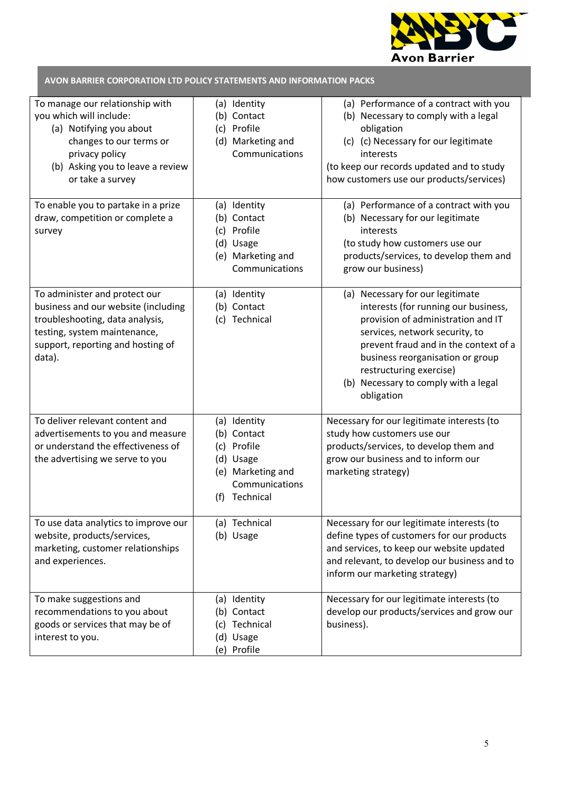

| AVON BARRIER CORPORATION LTD POLICY STATEMENTS AND INFORMATION PACKS                                                                                                                       |                                                                                                                 |                                                                                                                                                                                                                                                                                                                |
|--------------------------------------------------------------------------------------------------------------------------------------------------------------------------------------------|-----------------------------------------------------------------------------------------------------------------|----------------------------------------------------------------------------------------------------------------------------------------------------------------------------------------------------------------------------------------------------------------------------------------------------------------|
| To manage our relationship with<br>you which will include:<br>(a) Notifying you about<br>changes to our terms or<br>privacy policy<br>(b) Asking you to leave a review<br>or take a survey | (a) Identity<br>(b) Contact<br>(c) Profile<br>(d) Marketing and<br>Communications                               | (a) Performance of a contract with you<br>(b) Necessary to comply with a legal<br>obligation<br>(c) (c) Necessary for our legitimate<br>interests<br>(to keep our records updated and to study<br>how customers use our products/services)                                                                     |
| To enable you to partake in a prize<br>draw, competition or complete a<br>survey                                                                                                           | (a) Identity<br>(b) Contact<br>(c) Profile<br>(d) Usage<br>(e) Marketing and<br>Communications                  | (a) Performance of a contract with you<br>(b) Necessary for our legitimate<br>interests<br>(to study how customers use our<br>products/services, to develop them and<br>grow our business)                                                                                                                     |
| To administer and protect our<br>business and our website (including<br>troubleshooting, data analysis,<br>testing, system maintenance,<br>support, reporting and hosting of<br>data).     | (a) Identity<br>(b) Contact<br>(c) Technical                                                                    | (a) Necessary for our legitimate<br>interests (for running our business,<br>provision of administration and IT<br>services, network security, to<br>prevent fraud and in the context of a<br>business reorganisation or group<br>restructuring exercise)<br>(b) Necessary to comply with a legal<br>obligation |
| To deliver relevant content and<br>advertisements to you and measure<br>or understand the effectiveness of<br>the advertising we serve to you                                              | (a) Identity<br>(b) Contact<br>(c) Profile<br>(d) Usage<br>(e) Marketing and<br>Communications<br>(f) Technical | Necessary for our legitimate interests (to<br>study how customers use our<br>products/services, to develop them and<br>grow our business and to inform our<br>marketing strategy)                                                                                                                              |
| To use data analytics to improve our<br>website, products/services,<br>marketing, customer relationships<br>and experiences.                                                               | (a) Technical<br>(b) Usage                                                                                      | Necessary for our legitimate interests (to<br>define types of customers for our products<br>and services, to keep our website updated<br>and relevant, to develop our business and to<br>inform our marketing strategy)                                                                                        |
| To make suggestions and<br>recommendations to you about<br>goods or services that may be of<br>interest to you.                                                                            | (a) Identity<br>(b) Contact<br>Technical<br>(c)  <br>(d) Usage<br>(e) Profile                                   | Necessary for our legitimate interests (to<br>develop our products/services and grow our<br>business).                                                                                                                                                                                                         |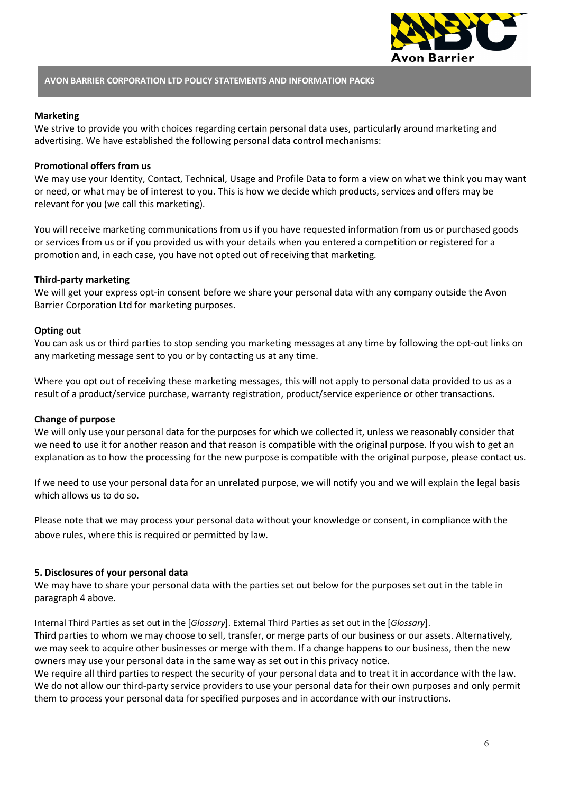

## **Marketing**

We strive to provide you with choices regarding certain personal data uses, particularly around marketing and advertising. We have established the following personal data control mechanisms:

#### **Promotional offers from us**

We may use your Identity, Contact, Technical, Usage and Profile Data to form a view on what we think you may want or need, or what may be of interest to you. This is how we decide which products, services and offers may be relevant for you (we call this marketing).

You will receive marketing communications from us if you have requested information from us or purchased goods or services from us or if you provided us with your details when you entered a competition or registered for a promotion and, in each case, you have not opted out of receiving that marketing.

#### **Third-party marketing**

We will get your express opt-in consent before we share your personal data with any company outside the Avon Barrier Corporation Ltd for marketing purposes.

#### **Opting out**

You can ask us or third parties to stop sending you marketing messages at any time by following the opt-out links on any marketing message sent to you or by contacting us at any time.

Where you opt out of receiving these marketing messages, this will not apply to personal data provided to us as a result of a product/service purchase, warranty registration, product/service experience or other transactions.

## **Change of purpose**

We will only use your personal data for the purposes for which we collected it, unless we reasonably consider that we need to use it for another reason and that reason is compatible with the original purpose. If you wish to get an explanation as to how the processing for the new purpose is compatible with the original purpose, please contact us.

If we need to use your personal data for an unrelated purpose, we will notify you and we will explain the legal basis which allows us to do so.

Please note that we may process your personal data without your knowledge or consent, in compliance with the above rules, where this is required or permitted by law.

## **5. Disclosures of your personal data**

We may have to share your personal data with the parties set out below for the purposes set out in the table in paragraph 4 above.

Internal Third Parties as set out in the [*Glossary*]. External Third Parties as set out in the [*Glossary*].

Third parties to whom we may choose to sell, transfer, or merge parts of our business or our assets. Alternatively, we may seek to acquire other businesses or merge with them. If a change happens to our business, then the new owners may use your personal data in the same way as set out in this privacy notice.

We require all third parties to respect the security of your personal data and to treat it in accordance with the law. We do not allow our third-party service providers to use your personal data for their own purposes and only permit them to process your personal data for specified purposes and in accordance with our instructions.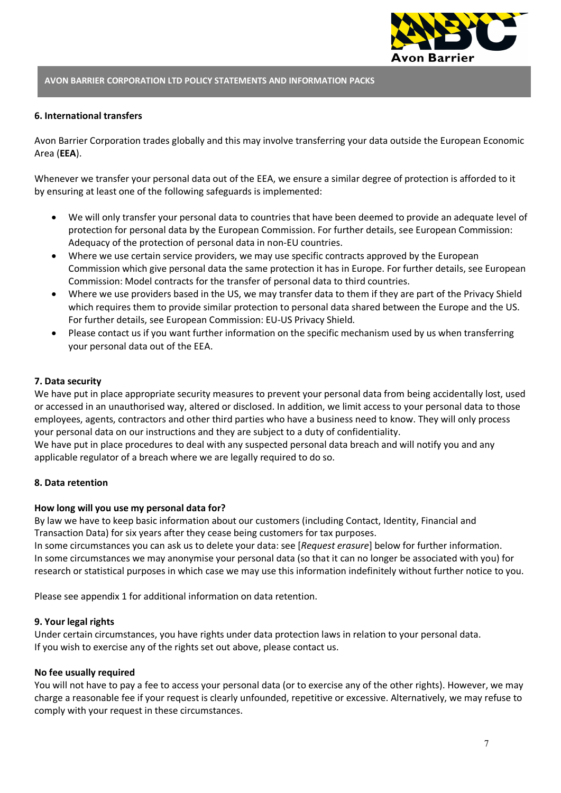

## **6. International transfers**

Avon Barrier Corporation trades globally and this may involve transferring your data outside the European Economic Area (**EEA**).

Whenever we transfer your personal data out of the EEA, we ensure a similar degree of protection is afforded to it by ensuring at least one of the following safeguards is implemented:

- We will only transfer your personal data to countries that have been deemed to provide an adequate level of protection for personal data by the European Commission. For further details, see European Commission: Adequacy of the protection of personal data in non-EU countries.
- Where we use certain service providers, we may use specific contracts approved by the European Commission which give personal data the same protection it has in Europe. For further details, see European Commission: Model contracts for the transfer of personal data to third countries.
- Where we use providers based in the US, we may transfer data to them if they are part of the Privacy Shield which requires them to provide similar protection to personal data shared between the Europe and the US. For further details, see European Commission: EU-US Privacy Shield.
- Please contact us if you want further information on the specific mechanism used by us when transferring your personal data out of the EEA.

## **7. Data security**

We have put in place appropriate security measures to prevent your personal data from being accidentally lost, used or accessed in an unauthorised way, altered or disclosed. In addition, we limit access to your personal data to those employees, agents, contractors and other third parties who have a business need to know. They will only process your personal data on our instructions and they are subject to a duty of confidentiality.

We have put in place procedures to deal with any suspected personal data breach and will notify you and any applicable regulator of a breach where we are legally required to do so.

## **8. Data retention**

## **How long will you use my personal data for?**

By law we have to keep basic information about our customers (including Contact, Identity, Financial and Transaction Data) for six years after they cease being customers for tax purposes.

In some circumstances you can ask us to delete your data: see [*Request erasure*] below for further information. In some circumstances we may anonymise your personal data (so that it can no longer be associated with you) for research or statistical purposes in which case we may use this information indefinitely without further notice to you.

Please see appendix 1 for additional information on data retention.

## **9. Your legal rights**

Under certain circumstances, you have rights under data protection laws in relation to your personal data. If you wish to exercise any of the rights set out above, please contact us.

## **No fee usually required**

You will not have to pay a fee to access your personal data (or to exercise any of the other rights). However, we may charge a reasonable fee if your request is clearly unfounded, repetitive or excessive. Alternatively, we may refuse to comply with your request in these circumstances.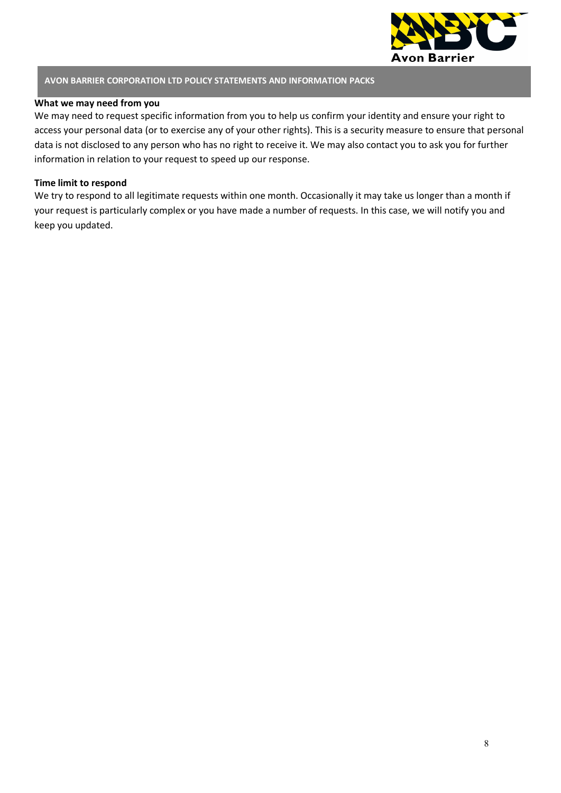

#### **What we may need from you**

We may need to request specific information from you to help us confirm your identity and ensure your right to access your personal data (or to exercise any of your other rights). This is a security measure to ensure that personal data is not disclosed to any person who has no right to receive it. We may also contact you to ask you for further information in relation to your request to speed up our response.

#### **Time limit to respond**

We try to respond to all legitimate requests within one month. Occasionally it may take us longer than a month if your request is particularly complex or you have made a number of requests. In this case, we will notify you and keep you updated.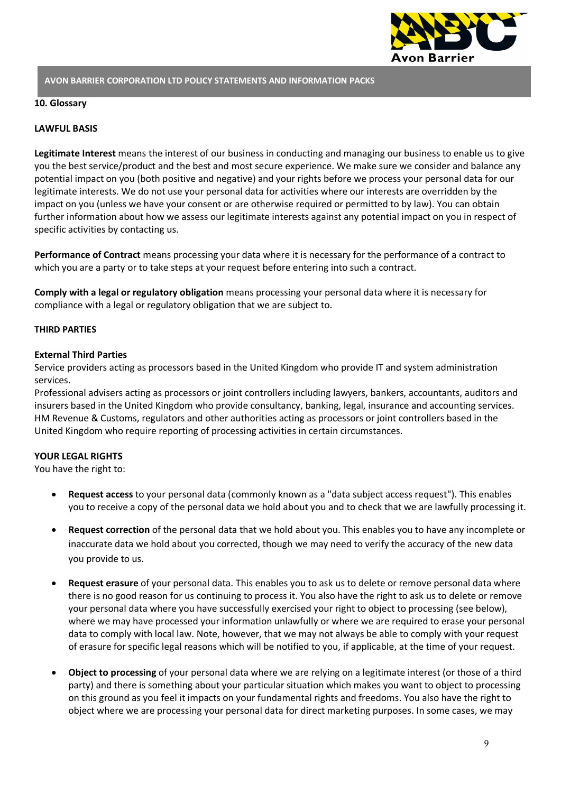

#### **10. Glossary**

#### **LAWFUL BASIS**

**Legitimate Interest** means the interest of our business in conducting and managing our business to enable us to give you the best service/product and the best and most secure experience. We make sure we consider and balance any potential impact on you (both positive and negative) and your rights before we process your personal data for our legitimate interests. We do not use your personal data for activities where our interests are overridden by the impact on you (unless we have your consent or are otherwise required or permitted to by law). You can obtain further information about how we assess our legitimate interests against any potential impact on you in respect of specific activities by contacting us.

**Performance of Contract** means processing your data where it is necessary for the performance of a contract to which you are a party or to take steps at your request before entering into such a contract.

**Comply with a legal or regulatory obligation** means processing your personal data where it is necessary for compliance with a legal or regulatory obligation that we are subject to.

#### **THIRD PARTIES**

#### **External Third Parties**

Service providers acting as processors based in the United Kingdom who provide IT and system administration services.

Professional advisers acting as processors or joint controllers including lawyers, bankers, accountants, auditors and insurers based in the United Kingdom who provide consultancy, banking, legal, insurance and accounting services. HM Revenue & Customs, regulators and other authorities acting as processors or joint controllers based in the United Kingdom who require reporting of processing activities in certain circumstances.

#### **YOUR LEGAL RIGHTS**

You have the right to:

- **Request access** to your personal data (commonly known as a "data subject access request"). This enables you to receive a copy of the personal data we hold about you and to check that we are lawfully processing it.
- **Request correction** of the personal data that we hold about you. This enables you to have any incomplete or inaccurate data we hold about you corrected, though we may need to verify the accuracy of the new data you provide to us.
- **Request erasure** of your personal data. This enables you to ask us to delete or remove personal data where there is no good reason for us continuing to process it. You also have the right to ask us to delete or remove your personal data where you have successfully exercised your right to object to processing (see below), where we may have processed your information unlawfully or where we are required to erase your personal data to comply with local law. Note, however, that we may not always be able to comply with your request of erasure for specific legal reasons which will be notified to you, if applicable, at the time of your request.
- **Object to processing** of your personal data where we are relying on a legitimate interest (or those of a third party) and there is something about your particular situation which makes you want to object to processing on this ground as you feel it impacts on your fundamental rights and freedoms. You also have the right to object where we are processing your personal data for direct marketing purposes. In some cases, we may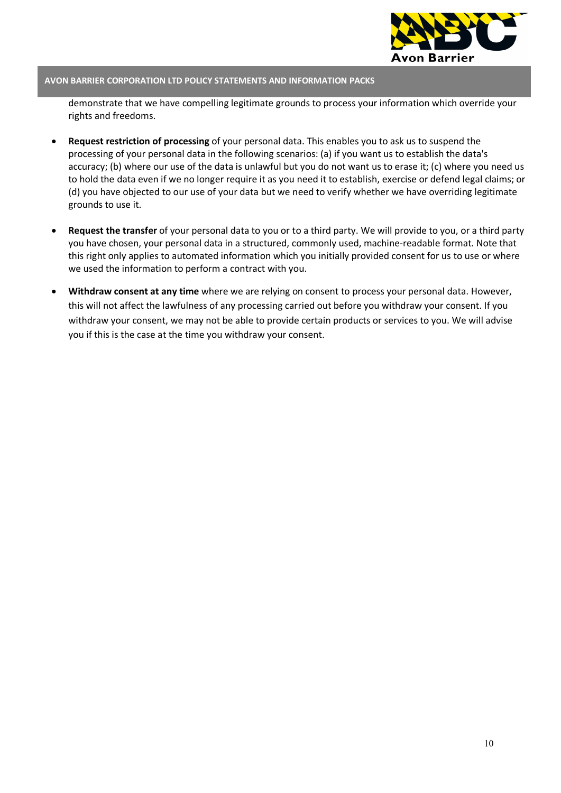

demonstrate that we have compelling legitimate grounds to process your information which override your rights and freedoms.

- **Request restriction of processing** of your personal data. This enables you to ask us to suspend the processing of your personal data in the following scenarios: (a) if you want us to establish the data's accuracy; (b) where our use of the data is unlawful but you do not want us to erase it; (c) where you need us to hold the data even if we no longer require it as you need it to establish, exercise or defend legal claims; or (d) you have objected to our use of your data but we need to verify whether we have overriding legitimate grounds to use it.
- **Request the transfer** of your personal data to you or to a third party. We will provide to you, or a third party you have chosen, your personal data in a structured, commonly used, machine-readable format. Note that this right only applies to automated information which you initially provided consent for us to use or where we used the information to perform a contract with you.
- **Withdraw consent at any time** where we are relying on consent to process your personal data. However, this will not affect the lawfulness of any processing carried out before you withdraw your consent. If you withdraw your consent, we may not be able to provide certain products or services to you. We will advise you if this is the case at the time you withdraw your consent.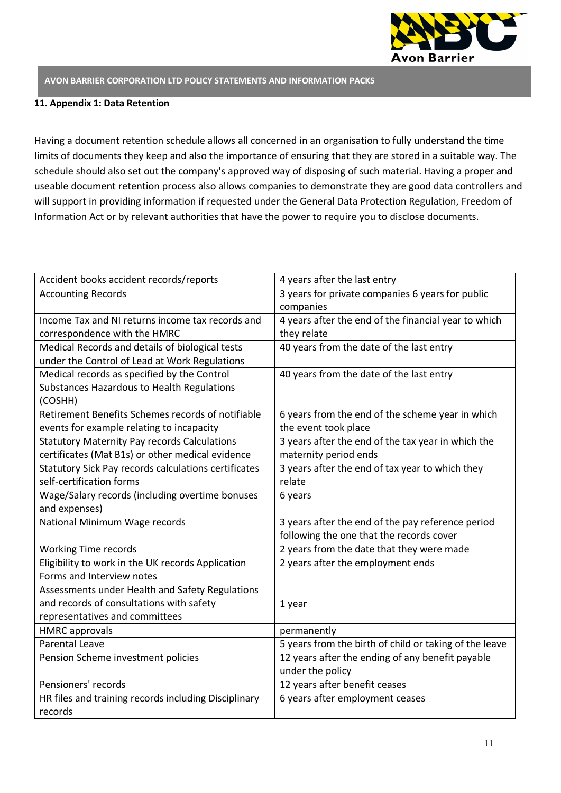

#### **11. Appendix 1: Data Retention**

Having a document retention schedule allows all concerned in an organisation to fully understand the time limits of documents they keep and also the importance of ensuring that they are stored in a suitable way. The schedule should also set out the company's approved way of disposing of such material. Having a proper and useable document retention process also allows companies to demonstrate they are good data controllers and will support in providing information if requested under the General Data Protection Regulation, Freedom of Information Act or by relevant authorities that have the power to require you to disclose documents.

| Accident books accident records/reports              | 4 years after the last entry                                  |
|------------------------------------------------------|---------------------------------------------------------------|
| <b>Accounting Records</b>                            | 3 years for private companies 6 years for public<br>companies |
| Income Tax and NI returns income tax records and     | 4 years after the end of the financial year to which          |
| correspondence with the HMRC                         | they relate                                                   |
| Medical Records and details of biological tests      | 40 years from the date of the last entry                      |
| under the Control of Lead at Work Regulations        |                                                               |
| Medical records as specified by the Control          | 40 years from the date of the last entry                      |
| Substances Hazardous to Health Regulations           |                                                               |
| (COSHH)                                              |                                                               |
| Retirement Benefits Schemes records of notifiable    | 6 years from the end of the scheme year in which              |
| events for example relating to incapacity            | the event took place                                          |
| <b>Statutory Maternity Pay records Calculations</b>  | 3 years after the end of the tax year in which the            |
| certificates (Mat B1s) or other medical evidence     | maternity period ends                                         |
| Statutory Sick Pay records calculations certificates | 3 years after the end of tax year to which they               |
| self-certification forms                             | relate                                                        |
| Wage/Salary records (including overtime bonuses      | 6 years                                                       |
| and expenses)                                        |                                                               |
| National Minimum Wage records                        | 3 years after the end of the pay reference period             |
|                                                      | following the one that the records cover                      |
| <b>Working Time records</b>                          | 2 years from the date that they were made                     |
| Eligibility to work in the UK records Application    | 2 years after the employment ends                             |
| Forms and Interview notes                            |                                                               |
| Assessments under Health and Safety Regulations      |                                                               |
| and records of consultations with safety             | 1 year                                                        |
| representatives and committees                       |                                                               |
| <b>HMRC</b> approvals                                | permanently                                                   |
| <b>Parental Leave</b>                                | 5 years from the birth of child or taking of the leave        |
| Pension Scheme investment policies                   | 12 years after the ending of any benefit payable              |
|                                                      | under the policy                                              |
| Pensioners' records                                  | 12 years after benefit ceases                                 |
| HR files and training records including Disciplinary | 6 years after employment ceases                               |
| records                                              |                                                               |